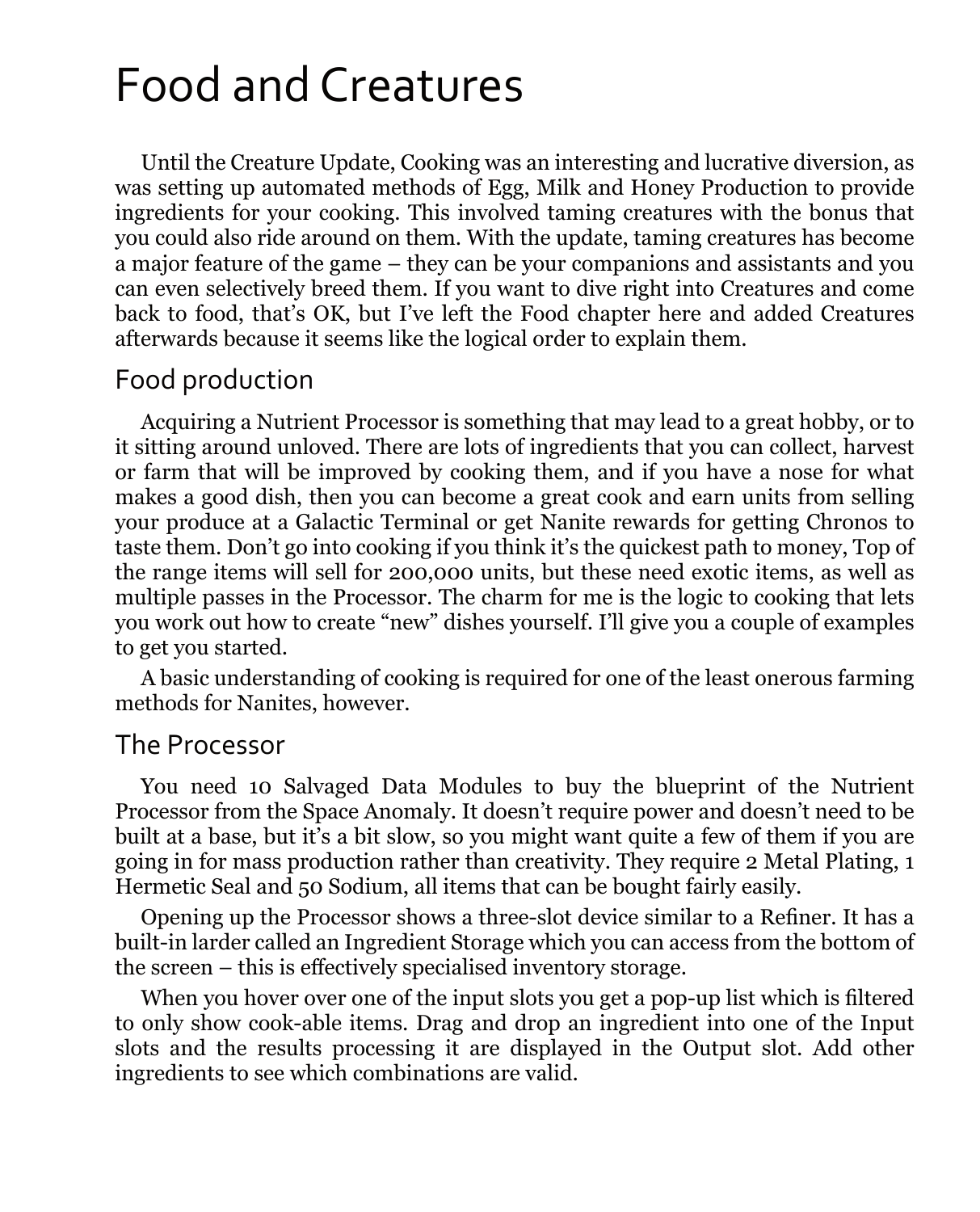# Food and Creatures

Until the Creature Update, Cooking was an interesting and lucrative diversion, as was setting up automated methods of Egg, Milk and Honey Production to provide ingredients for your cooking. This involved taming creatures with the bonus that you could also ride around on them. With the update, taming creatures has become a major feature of the game – they can be your companions and assistants and you can even selectively breed them. If you want to dive right into Creatures and come back to food, that's OK, but I've left the Food chapter here and added Creatures afterwards because it seems like the logical order to explain them.

#### Food production

Acquiring a Nutrient Processor is something that may lead to a great hobby, or to it sitting around unloved. There are lots of ingredients that you can collect, harvest or farm that will be improved by cooking them, and if you have a nose for what makes a good dish, then you can become a great cook and earn units from selling your produce at a Galactic Terminal or get Nanite rewards for getting Chronos to taste them. Don't go into cooking if you think it's the quickest path to money, Top of the range items will sell for 200,000 units, but these need exotic items, as well as multiple passes in the Processor. The charm for me is the logic to cooking that lets you work out how to create "new" dishes yourself. I'll give you a couple of examples to get you started.

A basic understanding of cooking is required for one of the least onerous farming methods for Nanites, however.

#### The Processor

You need 10 Salvaged Data Modules to buy the blueprint of the Nutrient Processor from the Space Anomaly. It doesn't require power and doesn't need to be built at a base, but it's a bit slow, so you might want quite a few of them if you are going in for mass production rather than creativity. They require 2 Metal Plating, 1 Hermetic Seal and 50 Sodium, all items that can be bought fairly easily.

Opening up the Processor shows a three-slot device similar to a Refiner. It has a built-in larder called an Ingredient Storage which you can access from the bottom of the screen – this is effectively specialised inventory storage.

When you hover over one of the input slots you get a pop-up list which is filtered to only show cook-able items. Drag and drop an ingredient into one of the Input slots and the results processing it are displayed in the Output slot. Add other ingredients to see which combinations are valid.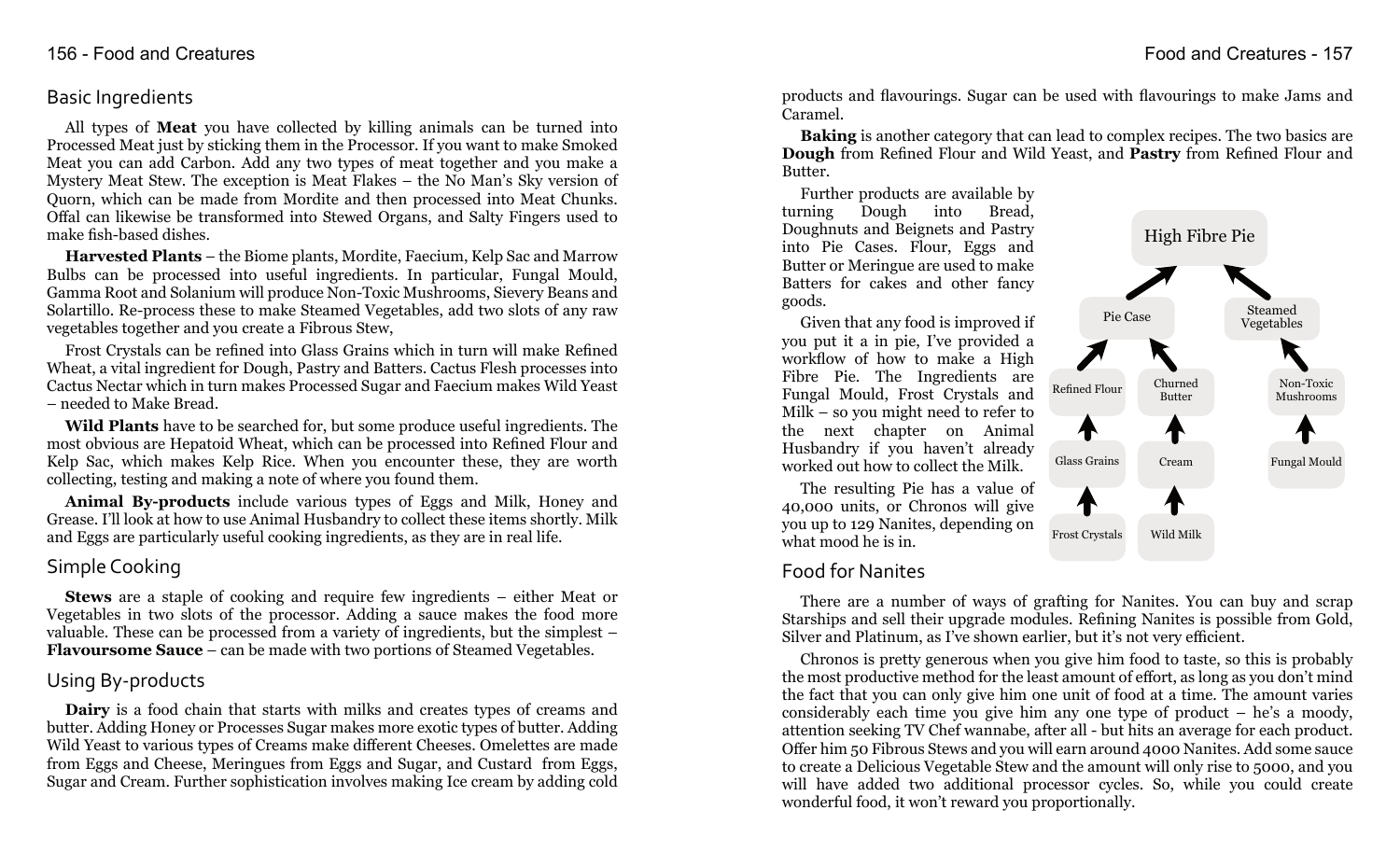#### Basic Ingredients

All types of **Meat** you have collected by killing animals can be turned into Processed Meat just by sticking them in the Processor. If you want to make Smoked Meat you can add Carbon. Add any two types of meat together and you make a Mystery Meat Stew. The exception is Meat Flakes – the No Man's Sky version of Quorn, which can be made from Mordite and then processed into Meat Chunks. Offal can likewise be transformed into Stewed Organs, and Salty Fingers used to make fish-based dishes.

**Harvested Plants** – the Biome plants, Mordite, Faecium, Kelp Sac and Marrow Bulbs can be processed into useful ingredients. In particular, Fungal Mould, Gamma Root and Solanium will produce Non-Toxic Mushrooms, Sievery Beans and Solartillo. Re-process these to make Steamed Vegetables, add two slots of any raw vegetables together and you create a Fibrous Stew,

Frost Crystals can be refined into Glass Grains which in turn will make Refined Wheat, a vital ingredient for Dough, Pastry and Batters. Cactus Flesh processes into Cactus Nectar which in turn makes Processed Sugar and Faecium makes Wild Yeast – needed to Make Bread.

**Wild Plants** have to be searched for, but some produce useful ingredients. The most obvious are Hepatoid Wheat, which can be processed into Refined Flour and Kelp Sac, which makes Kelp Rice. When you encounter these, they are worth collecting, testing and making a note of where you found them.

**Animal By-products** include various types of Eggs and Milk, Honey and Grease. I'll look at how to use Animal Husbandry to collect these items shortly. Milk and Eggs are particularly useful cooking ingredients, as they are in real life.

### Simple Cooking

**Stews** are a staple of cooking and require few ingredients – either Meat or Vegetables in two slots of the processor. Adding a sauce makes the food more valuable. These can be processed from a variety of ingredients, but the simplest – **Flavoursome Sauce** – can be made with two portions of Steamed Vegetables.

# Using By-products

**Dairy** is a food chain that starts with milks and creates types of creams and butter. Adding Honey or Processes Sugar makes more exotic types of butter. Adding Wild Yeast to various types of Creams make different Cheeses. Omelettes are made from Eggs and Cheese, Meringues from Eggs and Sugar, and Custard from Eggs, Sugar and Cream. Further sophistication involves making Ice cream by adding cold

products and flavourings. Sugar can be used with flavourings to make Jams and Caramel.

**Baking** is another category that can lead to complex recipes. The two basics are **Dough** from Refined Flour and Wild Yeast, and **Pastry** from Refined Flour and Butter.

Further products are available by turning Dough into Bread, Doughnuts and Beignets and Pastry into Pie Cases. Flour, Eggs and Butter or Meringue are used to make Batters for cakes and other fancy goods.

Given that any food is improved if you put it a in pie, I've provided a workflow of how to make a High Fibre Pie. The Ingredients are Fungal Mould, Frost Crystals and Milk – so you might need to refer to the next chapter on Animal Husbandry if you haven't already worked out how to collect the Milk.

The resulting Pie has a value of 40,000 units, or Chronos will give you up to 129 Nanites, depending on what mood he is in.

# Food for Nanites

There are a number of ways of grafting for Nanites. You can buy and scrap Starships and sell their upgrade modules. Refining Nanites is possible from Gold, Silver and Platinum, as I've shown earlier, but it's not very efficient.

Chronos is pretty generous when you give him food to taste, so this is probably the most productive method for the least amount of effort, as long as you don't mind the fact that you can only give him one unit of food at a time. The amount varies considerably each time you give him any one type of product – he's a moody, attention seeking TV Chef wannabe, after all - but hits an average for each product. Offer him 50 Fibrous Stews and you will earn around 4000 Nanites. Add some sauce to create a Delicious Vegetable Stew and the amount will only rise to 5000, and you will have added two additional processor cycles. So, while you could create wonderful food, it won't reward you proportionally.

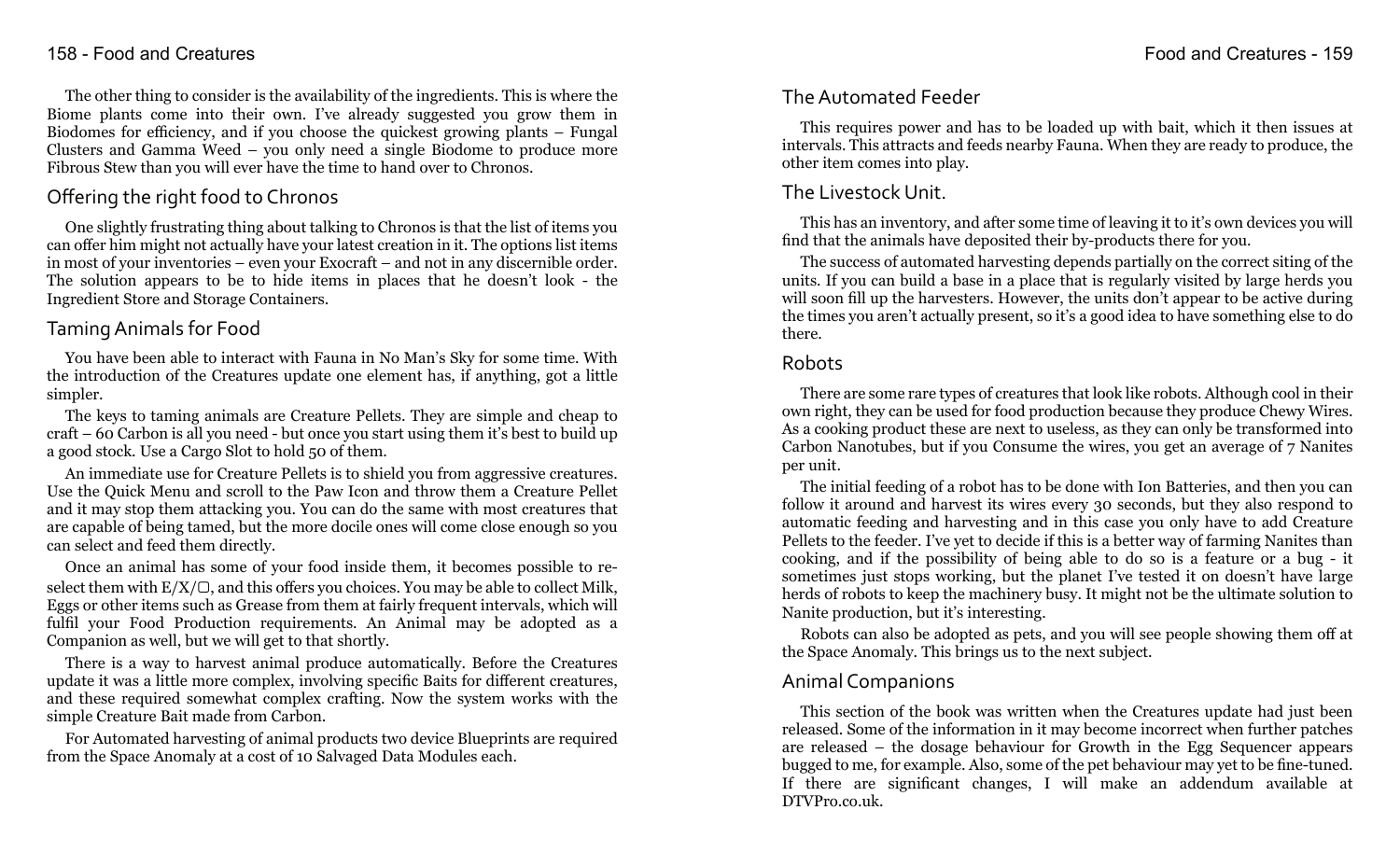The other thing to consider is the availability of the ingredients. This is where the Biome plants come into their own. I've already suggested you grow them in Biodomes for efficiency, and if you choose the quickest growing plants – Fungal Clusters and Gamma Weed – you only need a single Biodome to produce more Fibrous Stew than you will ever have the time to hand over to Chronos.

# Offering the right food to Chronos

One slightly frustrating thing about talking to Chronos is that the list of items you can offer him might not actually have your latest creation in it. The options list items in most of your inventories – even your Exocraft – and not in any discernible order. The solution appears to be to hide items in places that he doesn't look - the Ingredient Store and Storage Containers.

# Taming Animals for Food

You have been able to interact with Fauna in No Man's Sky for some time. With the introduction of the Creatures update one element has, if anything, got a little simpler.

The keys to taming animals are Creature Pellets. They are simple and cheap to craft – 60 Carbon is all you need - but once you start using them it's best to build up a good stock. Use a Cargo Slot to hold 50 of them.

An immediate use for Creature Pellets is to shield you from aggressive creatures. Use the Quick Menu and scroll to the Paw Icon and throw them a Creature Pellet and it may stop them attacking you. You can do the same with most creatures that are capable of being tamed, but the more docile ones will come close enough so you can select and feed them directly.

Once an animal has some of your food inside them, it becomes possible to reselect them with  $E/X/\mathbb{C}$ , and this offers you choices. You may be able to collect Milk, Eggs or other items such as Grease from them at fairly frequent intervals, which will fulfil your Food Production requirements. An Animal may be adopted as a Companion as well, but we will get to that shortly.

There is a way to harvest animal produce automatically. Before the Creatures update it was a little more complex, involving specific Baits for different creatures, and these required somewhat complex crafting. Now the system works with the simple Creature Bait made from Carbon.

For Automated harvesting of animal products two device Blueprints are required from the Space Anomaly at a cost of 10 Salvaged Data Modules each.

### 158 - Food and Creatures Food and Creatures - 159

# The Automated Feeder

This requires power and has to be loaded up with bait, which it then issues at intervals. This attracts and feeds nearby Fauna. When they are ready to produce, the other item comes into play.

# The Livestock Unit.

This has an inventory, and after some time of leaving it to it's own devices you will find that the animals have deposited their by-products there for you.

The success of automated harvesting depends partially on the correct siting of the units. If you can build a base in a place that is regularly visited by large herds you will soon fill up the harvesters. However, the units don't appear to be active during the times you aren't actually present, so it's a good idea to have something else to do there.

### Robots

There are some rare types of creatures that look like robots. Although cool in their own right, they can be used for food production because they produce Chewy Wires. As a cooking product these are next to useless, as they can only be transformed into Carbon Nanotubes, but if you Consume the wires, you get an average of 7 Nanites per unit.

The initial feeding of a robot has to be done with Ion Batteries, and then you can follow it around and harvest its wires every 30 seconds, but they also respond to automatic feeding and harvesting and in this case you only have to add Creature Pellets to the feeder. I've yet to decide if this is a better way of farming Nanites than cooking, and if the possibility of being able to do so is a feature or a bug - it sometimes just stops working, but the planet I've tested it on doesn't have large herds of robots to keep the machinery busy. It might not be the ultimate solution to Nanite production, but it's interesting.

Robots can also be adopted as pets, and you will see people showing them off at the Space Anomaly. This brings us to the next subject.

# Animal Companions

This section of the book was written when the Creatures update had just been released. Some of the information in it may become incorrect when further patches are released – the dosage behaviour for Growth in the Egg Sequencer appears bugged to me, for example. Also, some of the pet behaviour may yet to be fine-tuned. If there are significant changes, I will make an addendum available at DTVPro.co.uk.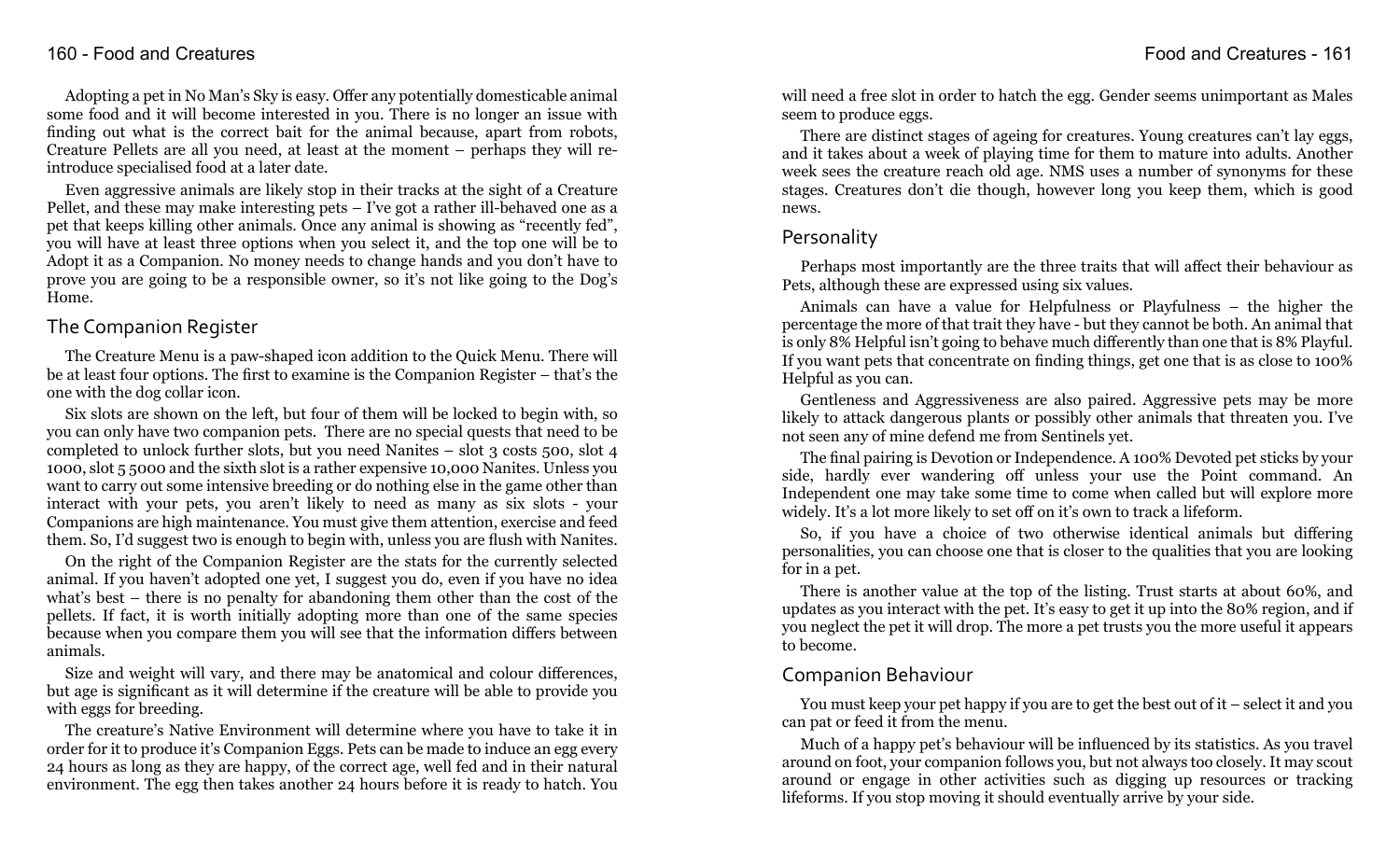#### 160 - Food and Creatures Food and Creatures - 161

Adopting a pet in No Man's Sky is easy. Offer any potentially domesticable animal some food and it will become interested in you. There is no longer an issue with finding out what is the correct bait for the animal because, apart from robots, Creature Pellets are all you need, at least at the moment – perhaps they will reintroduce specialised food at a later date.

Even aggressive animals are likely stop in their tracks at the sight of a Creature Pellet, and these may make interesting pets – I've got a rather ill-behaved one as a pet that keeps killing other animals. Once any animal is showing as "recently fed", you will have at least three options when you select it, and the top one will be to Adopt it as a Companion. No money needs to change hands and you don't have to prove you are going to be a responsible owner, so it's not like going to the Dog's Home.

### The Companion Register

The Creature Menu is a paw-shaped icon addition to the Quick Menu. There will be at least four options. The first to examine is the Companion Register – that's the one with the dog collar icon.

Six slots are shown on the left, but four of them will be locked to begin with, so you can only have two companion pets. There are no special quests that need to be completed to unlock further slots, but you need Nanites – slot 3 costs 500, slot 4 1000, slot 5 5000 and the sixth slot is a rather expensive 10,000 Nanites. Unless you want to carry out some intensive breeding or do nothing else in the game other than interact with your pets, you aren't likely to need as many as six slots - your Companions are high maintenance. You must give them attention, exercise and feed them. So, I'd suggest two is enough to begin with, unless you are flush with Nanites.

On the right of the Companion Register are the stats for the currently selected animal. If you haven't adopted one yet, I suggest you do, even if you have no idea what's best – there is no penalty for abandoning them other than the cost of the pellets. If fact, it is worth initially adopting more than one of the same species because when you compare them you will see that the information differs between animals.

Size and weight will vary, and there may be anatomical and colour differences, but age is significant as it will determine if the creature will be able to provide you with eggs for breeding.

The creature's Native Environment will determine where you have to take it in order for it to produce it's Companion Eggs. Pets can be made to induce an egg every 24 hours as long as they are happy, of the correct age, well fed and in their natural environment. The egg then takes another 24 hours before it is ready to hatch. You

will need a free slot in order to hatch the egg. Gender seems unimportant as Males seem to produce eggs.

There are distinct stages of ageing for creatures. Young creatures can't lay eggs, and it takes about a week of playing time for them to mature into adults. Another week sees the creature reach old age. NMS uses a number of synonyms for these stages. Creatures don't die though, however long you keep them, which is good news.

#### Personality

Perhaps most importantly are the three traits that will affect their behaviour as Pets, although these are expressed using six values.

Animals can have a value for Helpfulness or Playfulness – the higher the percentage the more of that trait they have - but they cannot be both. An animal that is only 8% Helpful isn't going to behave much differently than one that is 8% Playful. If you want pets that concentrate on finding things, get one that is as close to 100% Helpful as you can.

Gentleness and Aggressiveness are also paired. Aggressive pets may be more likely to attack dangerous plants or possibly other animals that threaten you. I've not seen any of mine defend me from Sentinels yet.

The final pairing is Devotion or Independence. A 100% Devoted pet sticks by your side, hardly ever wandering off unless your use the Point command. An Independent one may take some time to come when called but will explore more widely. It's a lot more likely to set off on it's own to track a lifeform.

So, if you have a choice of two otherwise identical animals but differing personalities, you can choose one that is closer to the qualities that you are looking for in a pet.

There is another value at the top of the listing. Trust starts at about 60%, and updates as you interact with the pet. It's easy to get it up into the 80% region, and if you neglect the pet it will drop. The more a pet trusts you the more useful it appears to become.

# Companion Behaviour

You must keep your pet happy if you are to get the best out of it – select it and you can pat or feed it from the menu.

Much of a happy pet's behaviour will be influenced by its statistics. As you travel around on foot, your companion follows you, but not always too closely. It may scout around or engage in other activities such as digging up resources or tracking lifeforms. If you stop moving it should eventually arrive by your side.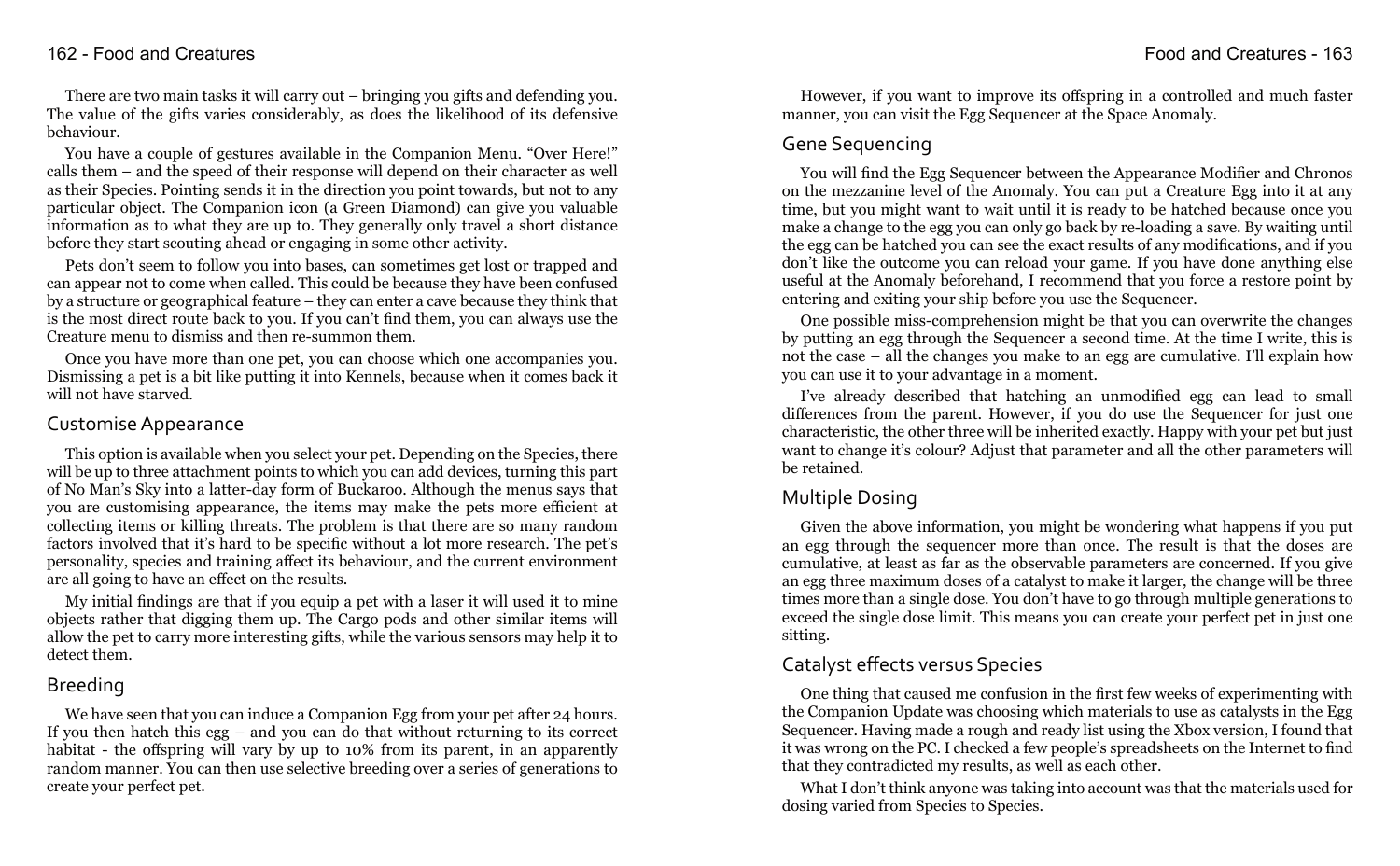There are two main tasks it will carry out – bringing you gifts and defending you. The value of the gifts varies considerably, as does the likelihood of its defensive behaviour.

You have a couple of gestures available in the Companion Menu. "Over Here!" calls them – and the speed of their response will depend on their character as well as their Species. Pointing sends it in the direction you point towards, but not to any particular object. The Companion icon (a Green Diamond) can give you valuable information as to what they are up to. They generally only travel a short distance before they start scouting ahead or engaging in some other activity.

Pets don't seem to follow you into bases, can sometimes get lost or trapped and can appear not to come when called. This could be because they have been confused by a structure or geographical feature – they can enter a cave because they think that is the most direct route back to you. If you can't find them, you can always use the Creature menu to dismiss and then re-summon them.

Once you have more than one pet, you can choose which one accompanies you. Dismissing a pet is a bit like putting it into Kennels, because when it comes back it will not have starved.

#### Customise Appearance

This option is available when you select your pet. Depending on the Species, there will be up to three attachment points to which you can add devices, turning this part of No Man's Sky into a latter-day form of Buckaroo. Although the menus says that you are customising appearance, the items may make the pets more efficient at collecting items or killing threats. The problem is that there are so many random factors involved that it's hard to be specific without a lot more research. The pet's personality, species and training affect its behaviour, and the current environment are all going to have an effect on the results.

My initial findings are that if you equip a pet with a laser it will used it to mine objects rather that digging them up. The Cargo pods and other similar items will allow the pet to carry more interesting gifts, while the various sensors may help it to detect them.

# Breeding

We have seen that you can induce a Companion Egg from your pet after 24 hours. If you then hatch this egg – and you can do that without returning to its correct habitat - the offspring will vary by up to 10% from its parent, in an apparently random manner. You can then use selective breeding over a series of generations to create your perfect pet.

However, if you want to improve its offspring in a controlled and much faster manner, you can visit the Egg Sequencer at the Space Anomaly.

# Gene Sequencing

You will find the Egg Sequencer between the Appearance Modifier and Chronos on the mezzanine level of the Anomaly. You can put a Creature Egg into it at any time, but you might want to wait until it is ready to be hatched because once you make a change to the egg you can only go back by re-loading a save. By waiting until the egg can be hatched you can see the exact results of any modifications, and if you don't like the outcome you can reload your game. If you have done anything else useful at the Anomaly beforehand, I recommend that you force a restore point by entering and exiting your ship before you use the Sequencer.

One possible miss-comprehension might be that you can overwrite the changes by putting an egg through the Sequencer a second time. At the time I write, this is not the case – all the changes you make to an egg are cumulative. I'll explain how you can use it to your advantage in a moment.

I've already described that hatching an unmodified egg can lead to small differences from the parent. However, if you do use the Sequencer for just one characteristic, the other three will be inherited exactly. Happy with your pet but just want to change it's colour? Adjust that parameter and all the other parameters will be retained.

# Multiple Dosing

Given the above information, you might be wondering what happens if you put an egg through the sequencer more than once. The result is that the doses are cumulative, at least as far as the observable parameters are concerned. If you give an egg three maximum doses of a catalyst to make it larger, the change will be three times more than a single dose. You don't have to go through multiple generations to exceed the single dose limit. This means you can create your perfect pet in just one sitting.

# Catalyst effects versus Species

One thing that caused me confusion in the first few weeks of experimenting with the Companion Update was choosing which materials to use as catalysts in the Egg Sequencer. Having made a rough and ready list using the Xbox version, I found that it was wrong on the PC. I checked a few people's spreadsheets on the Internet to find that they contradicted my results, as well as each other.

What I don't think anyone was taking into account was that the materials used for dosing varied from Species to Species.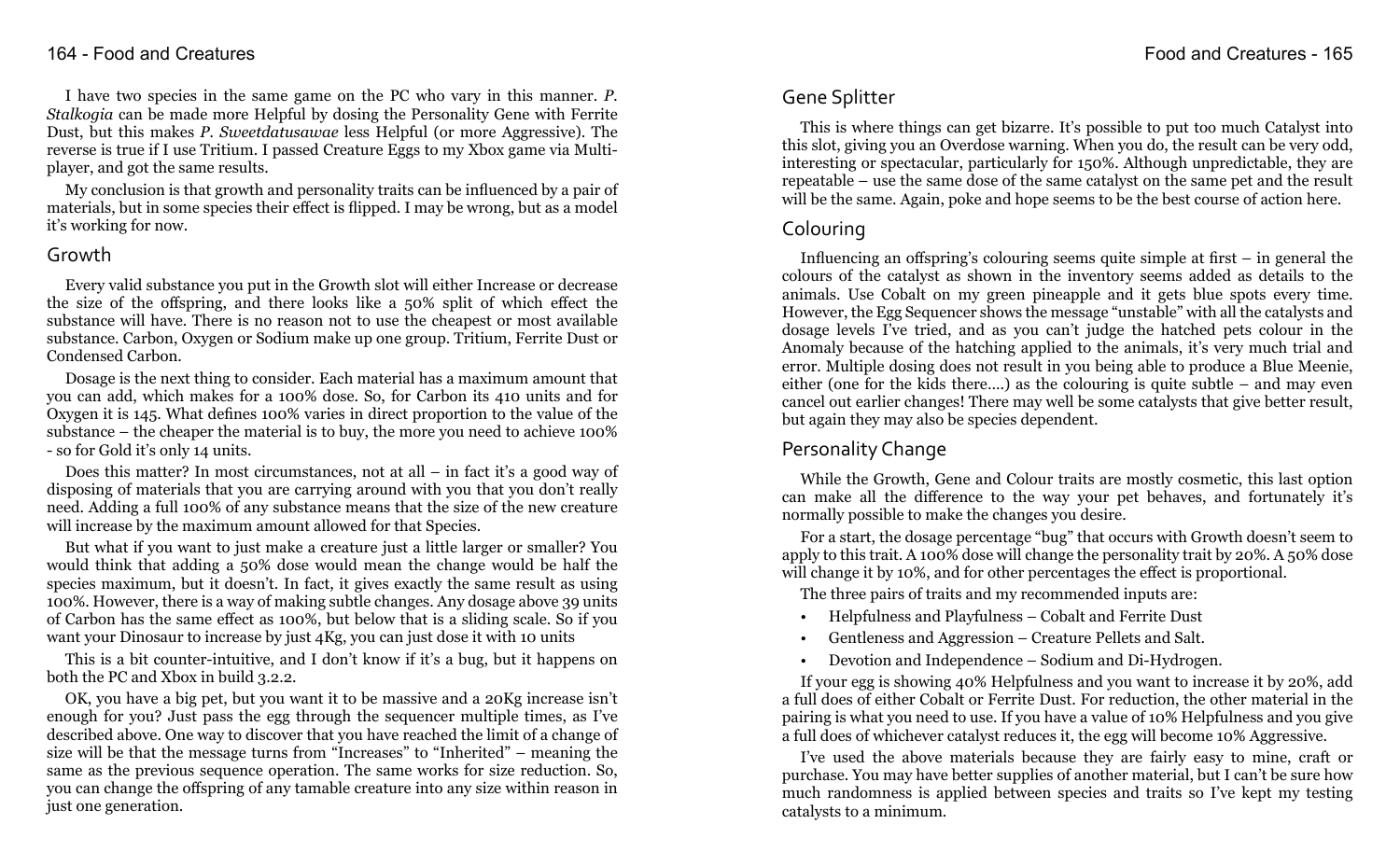I have two species in the same game on the PC who vary in this manner. *P. Stalkogia* can be made more Helpful by dosing the Personality Gene with Ferrite Dust, but this makes *P. Sweetdatusawae* less Helpful (or more Aggressive). The reverse is true if I use Tritium. I passed Creature Eggs to my Xbox game via Multiplayer, and got the same results.

My conclusion is that growth and personality traits can be influenced by a pair of materials, but in some species their effect is flipped. I may be wrong, but as a model it's working for now.

#### Growth

Every valid substance you put in the Growth slot will either Increase or decrease the size of the offspring, and there looks like a 50% split of which effect the substance will have. There is no reason not to use the cheapest or most available substance. Carbon, Oxygen or Sodium make up one group. Tritium, Ferrite Dust or Condensed Carbon.

Dosage is the next thing to consider. Each material has a maximum amount that you can add, which makes for a 100% dose. So, for Carbon its 410 units and for Oxygen it is 145. What defines 100% varies in direct proportion to the value of the substance – the cheaper the material is to buy, the more you need to achieve 100% - so for Gold it's only 14 units.

Does this matter? In most circumstances, not at all – in fact it's a good way of disposing of materials that you are carrying around with you that you don't really need. Adding a full 100% of any substance means that the size of the new creature will increase by the maximum amount allowed for that Species.

But what if you want to just make a creature just a little larger or smaller? You would think that adding a 50% dose would mean the change would be half the species maximum, but it doesn't. In fact, it gives exactly the same result as using 100%. However, there is a way of making subtle changes. Any dosage above 39 units of Carbon has the same effect as 100%, but below that is a sliding scale. So if you want your Dinosaur to increase by just 4Kg, you can just dose it with 10 units

This is a bit counter-intuitive, and I don't know if it's a bug, but it happens on both the PC and Xbox in build 3.2.2.

OK, you have a big pet, but you want it to be massive and a 20Kg increase isn't enough for you? Just pass the egg through the sequencer multiple times, as I've described above. One way to discover that you have reached the limit of a change of size will be that the message turns from "Increases" to "Inherited" – meaning the same as the previous sequence operation. The same works for size reduction. So, you can change the offspring of any tamable creature into any size within reason in just one generation.

### Gene Splitter

This is where things can get bizarre. It's possible to put too much Catalyst into this slot, giving you an Overdose warning. When you do, the result can be very odd, interesting or spectacular, particularly for 150%. Although unpredictable, they are repeatable – use the same dose of the same catalyst on the same pet and the result will be the same. Again, poke and hope seems to be the best course of action here.

### Colouring

Influencing an offspring's colouring seems quite simple at first  $-$  in general the colours of the catalyst as shown in the inventory seems added as details to the animals. Use Cobalt on my green pineapple and it gets blue spots every time. However, the Egg Sequencer shows the message "unstable" with all the catalysts and dosage levels I've tried, and as you can't judge the hatched pets colour in the Anomaly because of the hatching applied to the animals, it's very much trial and error. Multiple dosing does not result in you being able to produce a Blue Meenie, either (one for the kids there….) as the colouring is quite subtle – and may even cancel out earlier changes! There may well be some catalysts that give better result, but again they may also be species dependent.

# Personality Change

While the Growth, Gene and Colour traits are mostly cosmetic, this last option can make all the difference to the way your pet behaves, and fortunately it's normally possible to make the changes you desire.

For a start, the dosage percentage "bug" that occurs with Growth doesn't seem to apply to this trait. A 100% dose will change the personality trait by 20%. A 50% dose will change it by 10%, and for other percentages the effect is proportional.

The three pairs of traits and my recommended inputs are:

- Helpfulness and Playfulness Cobalt and Ferrite Dust
- Gentleness and Aggression Creature Pellets and Salt.
- Devotion and Independence Sodium and Di-Hydrogen.

If your egg is showing 40% Helpfulness and you want to increase it by 20%, add a full does of either Cobalt or Ferrite Dust. For reduction, the other material in the pairing is what you need to use. If you have a value of 10% Helpfulness and you give a full does of whichever catalyst reduces it, the egg will become 10% Aggressive.

I've used the above materials because they are fairly easy to mine, craft or purchase. You may have better supplies of another material, but I can't be sure how much randomness is applied between species and traits so I've kept my testing catalysts to a minimum.